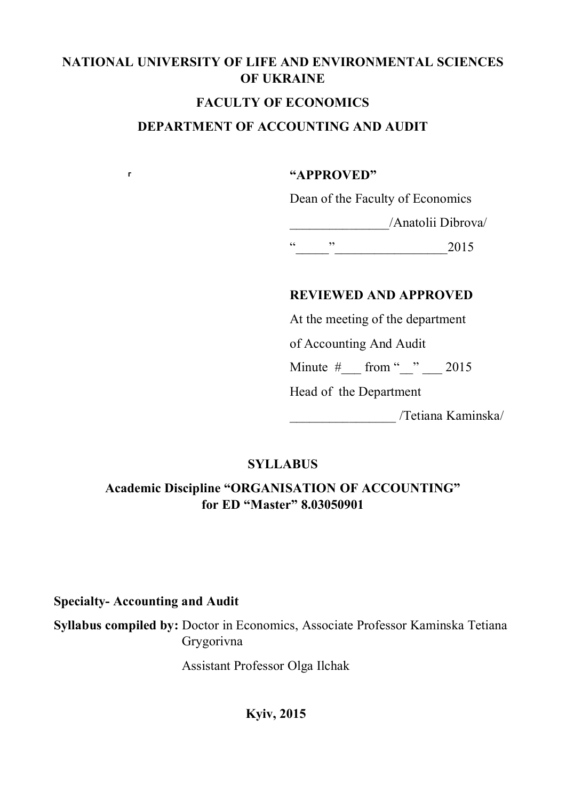# **NATIONAL UNIVERSITY OF LIFE AND ENVIRONMENTAL SCIENCES OF UKRAINE**

## **FACULTY OF ECONOMICS**

# **DEPARTMENT OF ACCOUNTING AND AUDIT**

#### **"APPROVED"**

Dean of the Faculty of Economics

\_\_\_\_\_\_\_\_\_\_\_\_\_\_\_/Anatolii Dibrova/

 $\frac{1}{2015}$  2015

# **REVIEWED AND APPROVED**

At the meeting of the department

of Accounting And Audit

Minute  $\#$  from " $2015$ 

Head of the Department

\_\_\_\_\_\_\_\_\_\_\_\_\_\_\_\_ /Tetiana Kaminska/

# **SYLLABUS**

# **Academic Discipline "ORGANISATION OF ACCOUNTING" for ED "Master" 8.03050901**

**Specialty- Accounting and Audit**

**г**

**Syllabus compiled by:** Doctor in Economics, Associate Professor Kaminska Tetiana Grygorivna

Assistant Professor Olga Ilchak

**Kyiv, 2015**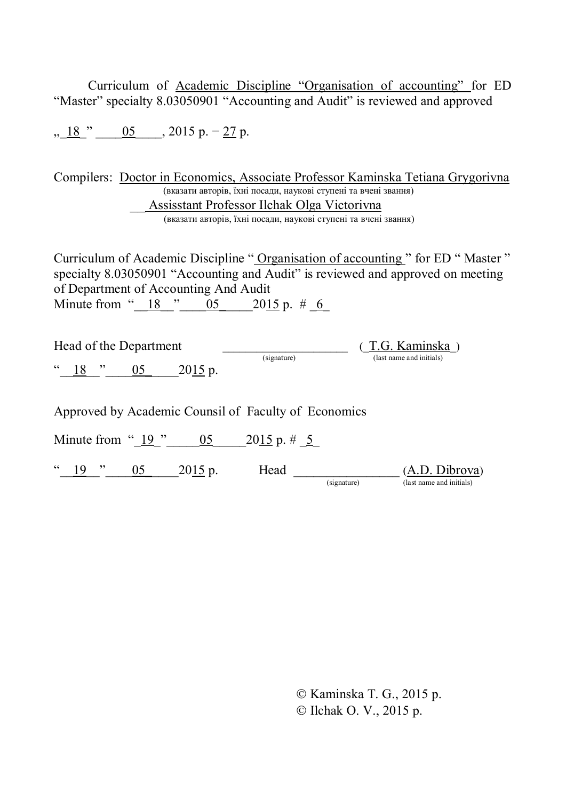Curriculum of Academic Discipline "Organisation of accounting" for ED "Master" specialty 8.03050901 "Accounting and Audit" is reviewed and approved

 $\frac{18}{9}$  "  $\frac{05}{9}$   $\frac{2015 \text{ p.} - 27 \text{ p.}}{9}$ 

Compilers: Doctor in Economics, Associate Professor Kaminska Tetiana Grygorivna (вказати авторів, їхні посади, наукові ступені та вчені звання) \_\_ Assisstant Professor Ilchak Olga Victorivna (вказати авторів, їхні посади, наукові ступені та вчені звання)

Curriculum of Academic Discipline " Organisation of accounting " for ED " Master " specialty 8.03050901 "Accounting and Audit" is reviewed and approved on meeting of Department of Accounting And Audit Minute from " $\frac{18}{2}$  " $\frac{05}{2015}$  2015 р. # 6

| Head of the Department |                   |  |         |             | (T.G. Kaminska)          |
|------------------------|-------------------|--|---------|-------------|--------------------------|
|                        |                   |  |         | (signature) | (last name and initials) |
|                        | $\frac{18}{18}$ " |  | 2015 p. |             |                          |

Approved by Academic Counsil of Faculty of Economics

Minute from " $\underline{19}$ "  $\underline{05}$   $2015$  p. #  $\underline{5}$ 

" $\underbrace{19}$ "  $\underbrace{05}$   $2015$  p. Head  $\underbrace{$  (signature)

 $\underbrace{(A.D. \text{ Dibrova})}_{\text{(last name and initials)}}$ 

Ó Kaminska T. G., 2015 р. Ó Іlchak О. V., 2015 р.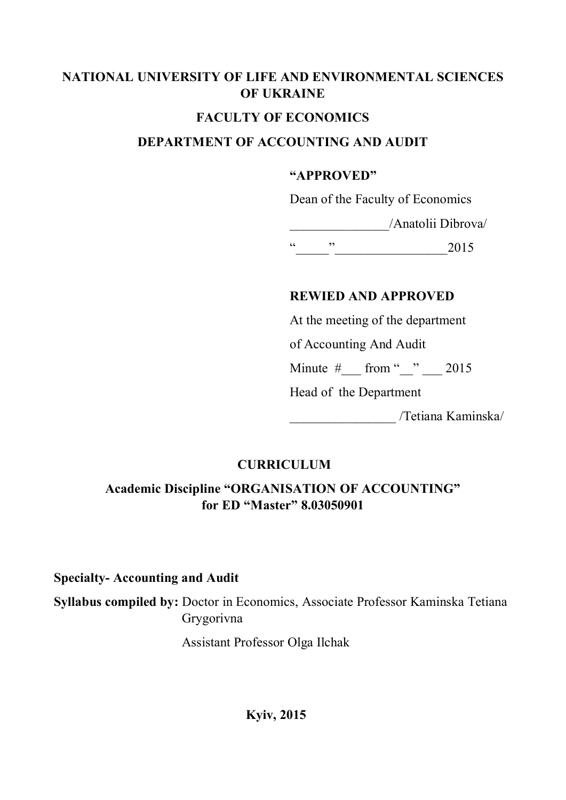# **NATIONAL UNIVERSITY OF LIFE AND ENVIRONMENTAL SCIENCES OF UKRAINE**

# **FACULTY OF ECONOMICS**

# **DEPARTMENT OF ACCOUNTING AND AUDIT**

#### **"APPROVED"**

Dean of the Faculty of Economics

\_\_\_\_\_\_\_\_\_\_\_\_\_\_\_/Anatolii Dibrova/

 $\frac{u}{2015}$  2015

# **REWIED AND APPROVED**

At the meeting of the department

of Accounting And Audit

Minute  $\#$  from " $\degree$  2015

Head of the Department

\_\_\_\_\_\_\_\_\_\_\_\_\_\_\_\_ /Tetiana Kaminska/

# **CURRICULUM**

# **Academic Discipline "ORGANISATION OF ACCOUNTING" for ED "Master" 8.03050901**

## **Specialty- Accounting and Audit**

**Syllabus compiled by:** Doctor in Economics, Associate Professor Kaminska Tetiana Grygorivna

Assistant Professor Olga Ilchak

**Kyiv, 2015**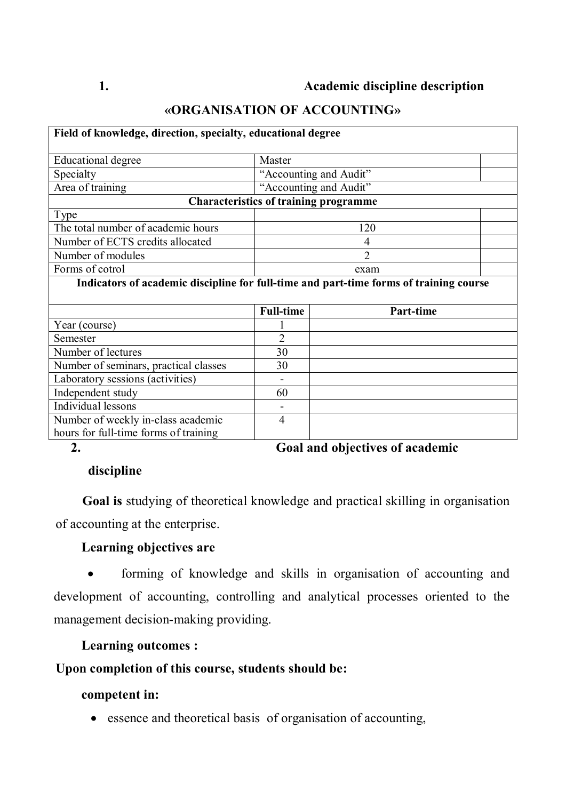# **«ORGANISATION OF ACCOUNTING»**

| Field of knowledge, direction, specialty, educational degree                           |                                              |                |  |  |
|----------------------------------------------------------------------------------------|----------------------------------------------|----------------|--|--|
| <b>Educational degree</b>                                                              | Master                                       |                |  |  |
| Specialty                                                                              | "Accounting and Audit"                       |                |  |  |
| Area of training                                                                       | "Accounting and Audit"                       |                |  |  |
|                                                                                        | <b>Characteristics of training programme</b> |                |  |  |
| Type                                                                                   |                                              |                |  |  |
| The total number of academic hours                                                     |                                              | 120            |  |  |
| Number of ECTS credits allocated                                                       |                                              | $\overline{4}$ |  |  |
| Number of modules                                                                      |                                              | $\overline{2}$ |  |  |
| Forms of cotrol                                                                        |                                              | exam           |  |  |
| Indicators of academic discipline for full-time and part-time forms of training course |                                              |                |  |  |
|                                                                                        | <b>Full-time</b>                             | Part-time      |  |  |
| Year (course)                                                                          |                                              |                |  |  |
| Semester                                                                               | $\overline{2}$                               |                |  |  |
| Number of lectures                                                                     | 30                                           |                |  |  |
| Number of seminars, practical classes                                                  | 30                                           |                |  |  |
| Laboratory sessions (activities)                                                       |                                              |                |  |  |
| Independent study                                                                      | 60                                           |                |  |  |
| Individual lessons                                                                     |                                              |                |  |  |
| Number of weekly in-class academic<br>hours for full-time forms of training            | 4                                            |                |  |  |

**2. Goal and objectives of academic**

## **discipline**

**Goal is** studying of theoretical knowledge and practical skilling in organisation of accounting at the enterprise.

#### **Learning objectives are**

· forming of knowledge and skills in organisation of accounting and development of accounting, controlling and analytical processes oriented to the management decision-making providing.

#### **Learning outcomes :**

#### **Upon completion of this course, students should be:**

## **competent in:**

· essence and theoretical basis of organisation of accounting,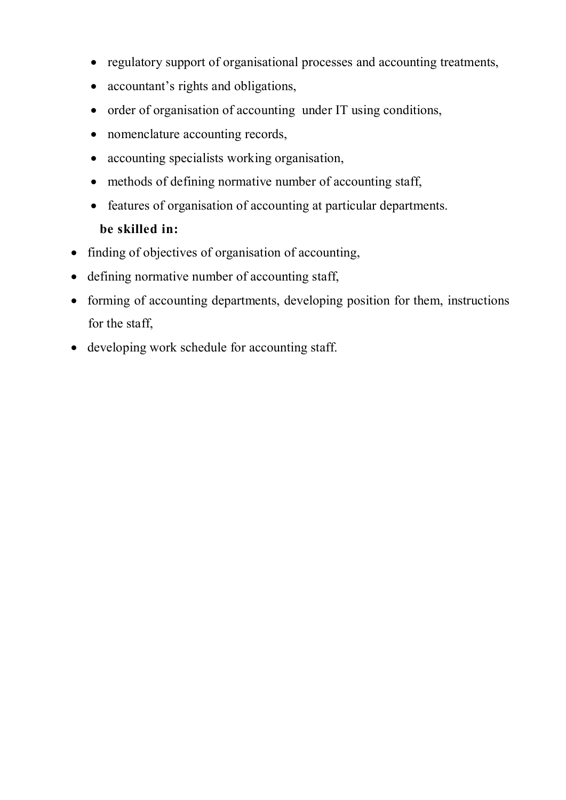- · regulatory support of organisational processes and accounting treatments,
- accountant's rights and obligations,
- order of organisation of accounting under IT using conditions,
- nomenclature accounting records,
- · accounting specialists working organisation,
- methods of defining normative number of accounting staff,
- · features of organisation of accounting at particular departments. **be skilled in:**
- finding of objectives of organisation of accounting,
- defining normative number of accounting staff,
- forming of accounting departments, developing position for them, instructions for the staff,
- developing work schedule for accounting staff.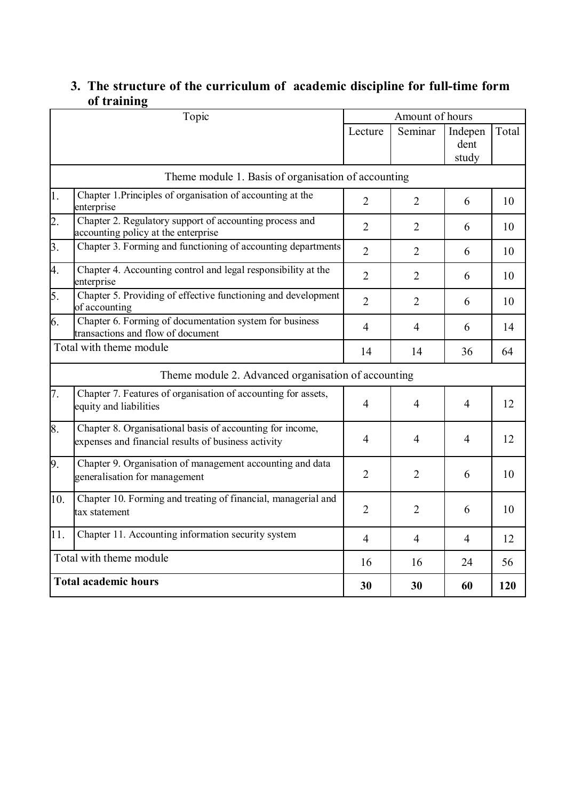# **3. The structure of the curriculum of academic discipline for full-time form of training**

|                  | Topic                                                                                                            |                | Amount of hours |                          |       |
|------------------|------------------------------------------------------------------------------------------------------------------|----------------|-----------------|--------------------------|-------|
|                  |                                                                                                                  | Lecture        | Seminar         | Indepen<br>dent<br>study | Total |
|                  | Theme module 1. Basis of organisation of accounting                                                              |                |                 |                          |       |
| 1.               | Chapter 1. Principles of organisation of accounting at the<br>enterprise                                         | $\overline{2}$ | 2               | 6                        | 10    |
| $\overline{2}$ . | Chapter 2. Regulatory support of accounting process and<br>accounting policy at the enterprise                   | $\overline{2}$ | $\overline{2}$  | 6                        | 10    |
| 3.               | Chapter 3. Forming and functioning of accounting departments                                                     | $\overline{2}$ | $\overline{2}$  | 6                        | 10    |
| 4.               | Chapter 4. Accounting control and legal responsibility at the<br>enterprise                                      | $\overline{2}$ | $\overline{2}$  | 6                        | 10    |
| 5.               | Chapter 5. Providing of effective functioning and development<br>of accounting                                   | $\overline{2}$ | $\overline{2}$  | 6                        | 10    |
| 6.               | Chapter 6. Forming of documentation system for business<br>transactions and flow of document                     | $\overline{4}$ | 4               | 6                        | 14    |
|                  | Total with theme module                                                                                          | 14             | 14              | 36                       | 64    |
|                  | Theme module 2. Advanced organisation of accounting                                                              |                |                 |                          |       |
| 7.               | Chapter 7. Features of organisation of accounting for assets,<br>equity and liabilities                          | 4              | 4               | $\overline{4}$           | 12    |
| 8.               | Chapter 8. Organisational basis of accounting for income,<br>expenses and financial results of business activity | 4              | $\overline{4}$  | $\overline{4}$           | 12    |
| 9.               | Chapter 9. Organisation of management accounting and data<br>generalisation for management                       | $\overline{2}$ | $\overline{2}$  | 6                        | 10    |
| 10.              | Chapter 10. Forming and treating of financial, managerial and<br>tax statement                                   | $\overline{2}$ | $\overline{2}$  | 6                        | 10    |
| 11.              | Chapter 11. Accounting information security system                                                               | $\overline{4}$ | $\overline{4}$  | $\overline{4}$           | 12    |
|                  | Total with theme module                                                                                          | 16             | 16              | 24                       | 56    |
|                  | <b>Total academic hours</b>                                                                                      | 30             | 30              | 60                       | 120   |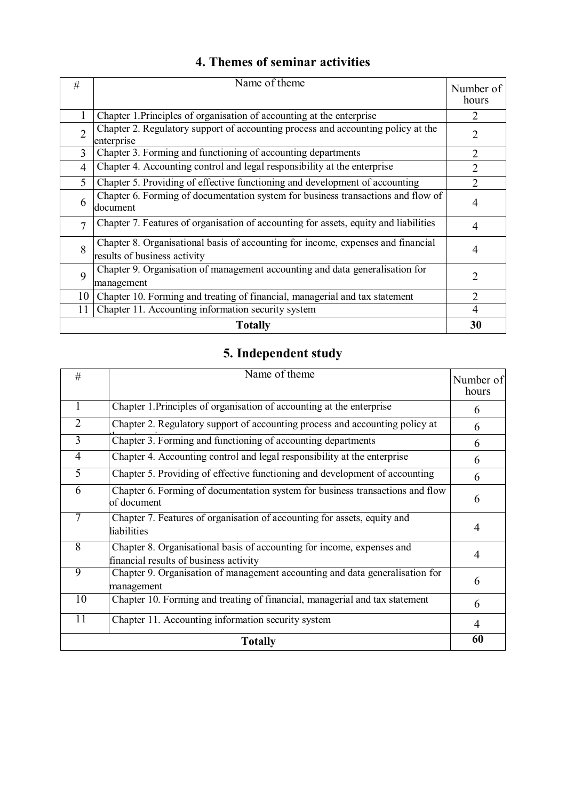| 4. Themes of seminar activities |  |
|---------------------------------|--|
|---------------------------------|--|

| #              | Name of theme                                                                                                    | Number of<br>hours          |
|----------------|------------------------------------------------------------------------------------------------------------------|-----------------------------|
|                | Chapter 1. Principles of organisation of accounting at the enterprise                                            | $\mathcal{D}_{\mathcal{L}}$ |
| $\mathcal{D}$  | Chapter 2. Regulatory support of accounting process and accounting policy at the<br>enterprise                   | 2                           |
| 3              | Chapter 3. Forming and functioning of accounting departments                                                     | $\overline{2}$              |
| $\overline{4}$ | Chapter 4. Accounting control and legal responsibility at the enterprise                                         | $\mathfrak{D}$              |
| 5              | Chapter 5. Providing of effective functioning and development of accounting                                      | 2                           |
| 6              | Chapter 6. Forming of documentation system for business transactions and flow of<br>document                     | 4                           |
| $\tau$         | Chapter 7. Features of organisation of accounting for assets, equity and liabilities                             | 4                           |
| 8              | Chapter 8. Organisational basis of accounting for income, expenses and financial<br>results of business activity | 4                           |
| 9              | Chapter 9. Organisation of management accounting and data generalisation for<br>management                       | $\mathcal{D}_{\mathcal{A}}$ |
| 10             | Chapter 10. Forming and treating of financial, managerial and tax statement                                      | $\overline{2}$              |
| 11             | Chapter 11. Accounting information security system                                                               | 4                           |
|                | <b>Totally</b>                                                                                                   | 30                          |

# **5. Independent study**

| #               | Name of theme                                                                                                    | Number of<br>hours |
|-----------------|------------------------------------------------------------------------------------------------------------------|--------------------|
| 1               | Chapter 1. Principles of organisation of accounting at the enterprise                                            | 6                  |
| $\overline{2}$  | Chapter 2. Regulatory support of accounting process and accounting policy at                                     | 6                  |
| $\overline{3}$  | Chapter 3. Forming and functioning of accounting departments                                                     | 6                  |
| $\overline{4}$  | Chapter 4. Accounting control and legal responsibility at the enterprise                                         | 6                  |
| $\overline{5}$  | Chapter 5. Providing of effective functioning and development of accounting                                      | 6                  |
| 6               | Chapter 6. Forming of documentation system for business transactions and flow<br>of document                     | 6                  |
| 7               | Chapter 7. Features of organisation of accounting for assets, equity and<br>liabilities                          | 4                  |
| 8               | Chapter 8. Organisational basis of accounting for income, expenses and<br>financial results of business activity | $\overline{4}$     |
| $\overline{9}$  | Chapter 9. Organisation of management accounting and data generalisation for<br>management                       | 6                  |
| $\overline{10}$ | Chapter 10. Forming and treating of financial, managerial and tax statement                                      | 6                  |
| 11              | Chapter 11. Accounting information security system                                                               | 4                  |
|                 | <b>Totally</b>                                                                                                   | 60                 |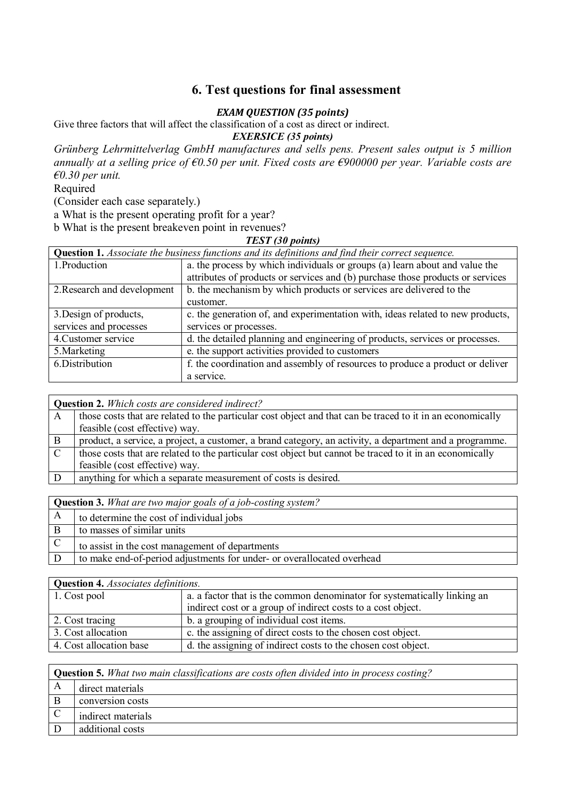#### **6. Test questions for final assessment**

#### *EXAM QUESTION* (35 points)

Give three factors that will affect the classification of a cost as direct or indirect.

*EXERSICE (35 points)*

*Grünberg Lehrmittelverlag GmbH manufactures and sells pens. Present sales output is 5 million annually at a selling price of €0.50 per unit. Fixed costs are €900000 per year. Variable costs are €0.30 per unit.*

Required

(Consider each case separately.)

a What is the present operating profit for a year?

b What is the present breakeven point in revenues?

#### *TEST (30 points)*

|                                                                                                          | $11.011$ 100 points.                                                           |  |
|----------------------------------------------------------------------------------------------------------|--------------------------------------------------------------------------------|--|
| <b>Question 1.</b> Associate the business functions and its definitions and find their correct sequence. |                                                                                |  |
| 1.Production                                                                                             | a. the process by which individuals or groups (a) learn about and value the    |  |
|                                                                                                          | attributes of products or services and (b) purchase those products or services |  |
| 2. Research and development                                                                              | b. the mechanism by which products or services are delivered to the            |  |
|                                                                                                          | customer.                                                                      |  |
| 3. Design of products,                                                                                   | c. the generation of, and experimentation with, ideas related to new products, |  |
| services and processes                                                                                   | services or processes.                                                         |  |
| 4. Customer service                                                                                      | d. the detailed planning and engineering of products, services or processes.   |  |
| 5. Marketing                                                                                             | e. the support activities provided to customers                                |  |
| 6.Distribution                                                                                           | f. the coordination and assembly of resources to produce a product or deliver  |  |
|                                                                                                          | a service.                                                                     |  |

|               | <b>Question 2.</b> Which costs are considered indirect?                                                    |  |  |
|---------------|------------------------------------------------------------------------------------------------------------|--|--|
| A             | those costs that are related to the particular cost object and that can be traced to it in an economically |  |  |
|               | feasible (cost effective) way.                                                                             |  |  |
| B             | product, a service, a project, a customer, a brand category, an activity, a department and a programme.    |  |  |
| $\mathcal{C}$ | those costs that are related to the particular cost object but cannot be traced to it in an economically   |  |  |
|               | feasible (cost effective) way.                                                                             |  |  |
|               | anything for which a separate measurement of costs is desired.                                             |  |  |
|               |                                                                                                            |  |  |

|              | <b>Question 3.</b> What are two major goals of a job-costing system?   |  |
|--------------|------------------------------------------------------------------------|--|
| $\mathbf{A}$ | to determine the cost of individual jobs                               |  |
| B            | to masses of similar units                                             |  |
| $\mathbf C$  | to assist in the cost management of departments                        |  |
| D            | to make end-of-period adjustments for under- or overallocated overhead |  |

| <b>Question 4.</b> Associates definitions. |                                                                          |  |
|--------------------------------------------|--------------------------------------------------------------------------|--|
| 1. Cost pool                               | a. a factor that is the common denominator for systematically linking an |  |
|                                            | indirect cost or a group of indirect costs to a cost object.             |  |
| 2. Cost tracing                            | b. a grouping of individual cost items.                                  |  |
| 3. Cost allocation                         | c. the assigning of direct costs to the chosen cost object.              |  |
| 4. Cost allocation base                    | d. the assigning of indirect costs to the chosen cost object.            |  |

| <b>Question 5.</b> What two main classifications are costs often divided into in process costing? |  |  |
|---------------------------------------------------------------------------------------------------|--|--|
| direct materials                                                                                  |  |  |
| conversion costs                                                                                  |  |  |
| indirect materials                                                                                |  |  |
| additional costs                                                                                  |  |  |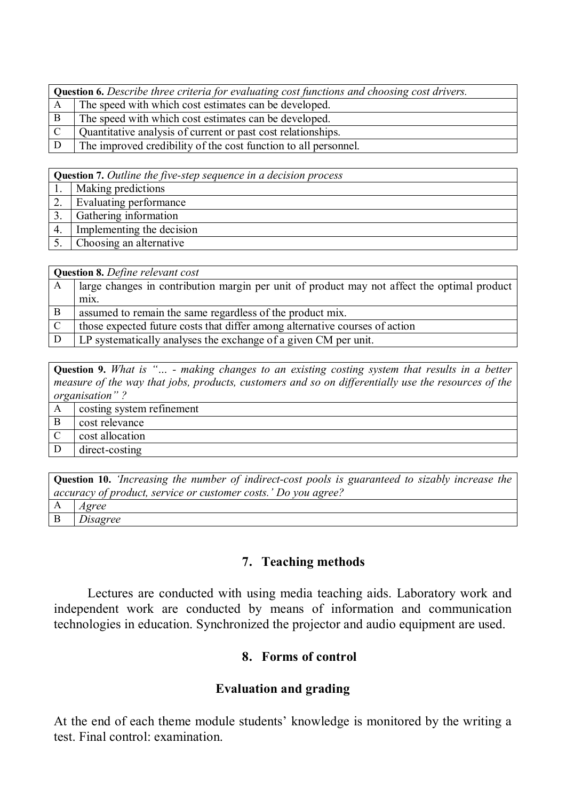| <b>Question 6.</b> Describe three criteria for evaluating cost functions and choosing cost drivers. |                                                                 |  |
|-----------------------------------------------------------------------------------------------------|-----------------------------------------------------------------|--|
|                                                                                                     | The speed with which cost estimates can be developed.           |  |
|                                                                                                     | The speed with which cost estimates can be developed.           |  |
|                                                                                                     | Quantitative analysis of current or past cost relationships.    |  |
|                                                                                                     | The improved credibility of the cost function to all personnel. |  |

**Question 7.** *Outline the five-step sequence in a decision process*

| Making predictions        |  |  |  |  |
|---------------------------|--|--|--|--|
| Evaluating performance    |  |  |  |  |
| Gathering information     |  |  |  |  |
| Implementing the decision |  |  |  |  |
| Choosing an alternative   |  |  |  |  |

| <b>Question 8.</b> Define relevant cost |                                                                                             |  |  |  |
|-----------------------------------------|---------------------------------------------------------------------------------------------|--|--|--|
| A                                       | large changes in contribution margin per unit of product may not affect the optimal product |  |  |  |
|                                         | m <sub>1</sub> x.                                                                           |  |  |  |
| B                                       | assumed to remain the same regardless of the product mix.                                   |  |  |  |
| $\mathcal{C}$                           | those expected future costs that differ among alternative courses of action                 |  |  |  |
|                                         | LP systematically analyses the exchange of a given CM per unit.                             |  |  |  |

**Question 9.** *What is "… - making changes to an existing costing system that results in a better measure of the way that jobs, products, customers and so on differentially use the resources of the organisation" ?*

|   | costing system refinement |
|---|---------------------------|
| B | cost relevance            |
|   | cost allocation           |
|   | direct-costing            |

| <b>Question 10.</b> There asing the number of indirect-cost pools is guaranteed to sizably increase the |                |  |  |  |  |  |
|---------------------------------------------------------------------------------------------------------|----------------|--|--|--|--|--|
| accuracy of product, service or customer costs.' Do you agree?                                          |                |  |  |  |  |  |
|                                                                                                         | A <i>Agree</i> |  |  |  |  |  |
|                                                                                                         | Disagree       |  |  |  |  |  |

#### **7. Teaching methods**

Lectures are conducted with using media teaching aids. Laboratory work and independent work are conducted by means of information and communication technologies in education. Synchronized the projector and audio equipment are used.

#### **8. Forms of control**

#### **Evaluation and grading**

At the end of each theme module students' knowledge is monitored by the writing a test. Final control: examination.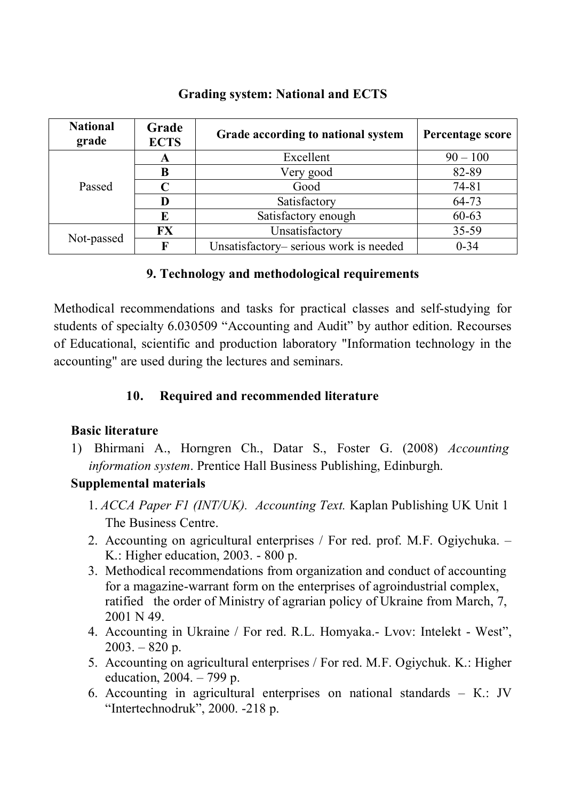## **Grading system: National and ECTS**

| <b>National</b><br>grade | Grade<br><b>ECTS</b> | Grade according to national system    | Percentage score |
|--------------------------|----------------------|---------------------------------------|------------------|
|                          | A                    | Excellent                             | $90 - 100$       |
|                          | B                    | Very good                             | 82-89            |
| Passed                   |                      | Good                                  | $74 - 81$        |
|                          | D                    | Satisfactory                          | 64-73            |
|                          | E                    | Satisfactory enough                   | $60 - 63$        |
|                          | <b>FX</b>            | Unsatisfactory                        | 35-59            |
| Not-passed               | $\mathbf{F}$         | Unsatisfactory-serious work is needed | $0 - 34$         |

#### **9. Technology and methodological requirements**

Methodical recommendations and tasks for practical classes and self-studying for students of specialty 6.030509 "Accounting and Audit" by author edition. Recourses of Educational, scientific and production laboratory "Information technology in the accounting" are used during the lectures and seminars.

# **10. Required and recommended literature**

## **Basic literature**

1) Bhirmani A., Horngren Ch., Datar S., Foster G. (2008) *Accounting information system*. Prentice Hall Business Publishing, Edinburgh.

## **Supplemental materials**

- 1. *ACCA Paper F1 (INT/UK). Accounting Text.* Kaplan Publishing UK Unit 1 The Business Centre.
- 2. Accounting on agricultural enterprises / For red. prof. M.F. Ogiychuka. K.: Higher education, 2003. - 800 p.
- 3. Methodical recommendations from organization and conduct of accounting for a magazine-warrant form on the enterprises of agroindustrial complex, ratified the order of Ministry of agrarian policy of Ukraine from March, 7, 2001 N 49.
- 4. Accounting in Ukraine / For red. R.L. Homyaka.- Lvov: Intelekt West",  $2003. - 820$  p.
- 5. Accounting on agricultural enterprises / For red. M.F. Ogiychuk. K.: Higher education, 2004. – 799 p.
- 6. Accounting in agricultural enterprises on national standards К.: JV "Іntertechnodruk", 2000. -218 p.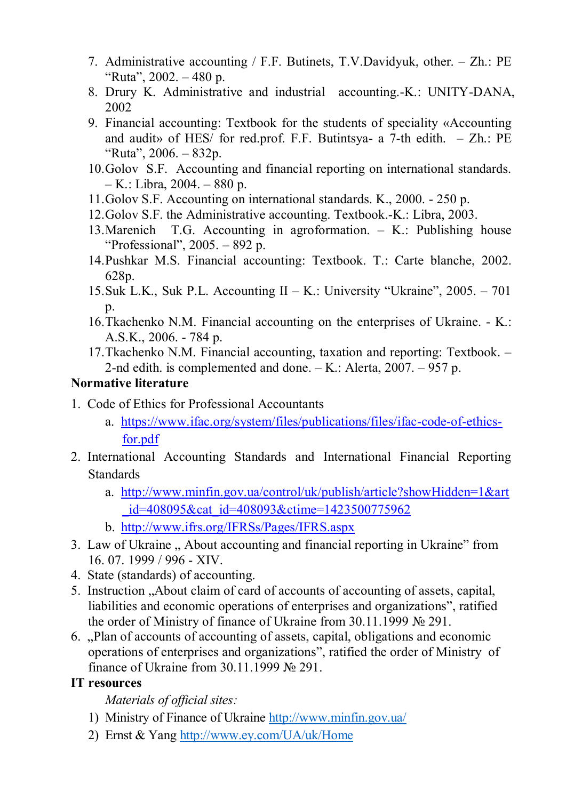- 7. Administrative accounting / F.F. Butinets, T.V.Davidyuk, other. Zh.: PE "Ruta", 2002.  $-480$  p.
- 8. Drury K. Administrative and industrial accounting.-K.: UNITY-DANA, 2002
- 9. Financial accounting: Textbook for the students of speciality «Accounting and audit» of HES/ for red.prof. F.F. Butintsya- a 7-th edith. – Zh.: PE "Ruta", 2006. – 832p.
- 10.Golov S.F. Accounting and financial reporting on international standards. – K.: Libra, 2004. – 880 p.
- 11.Golov S.F. Accounting on international standards. K., 2000. 250 p.
- 12.Golov S.F. the Administrative accounting. Textbook.-K.: Libra, 2003.
- 13.Marenich T.G. Accounting in agroformation. K.: Publishing house "Professional",  $2005. - 892$  p.
- 14.Pushkar M.S. Financial accounting: Textbook. T.: Carte blanche, 2002. 628p.
- 15.Suk L.K., Suk P.L. Accounting II K.: University "Ukraine", 2005. 701  $p<sub>1</sub>$
- 16.Tkachenko N.M. Financial accounting on the enterprises of Ukraine. K.: A.S.K., 2006. - 784 p.
- 17.Tkachenko N.M. Financial accounting, taxation and reporting: Textbook. 2-nd edith. is complemented and done. – K.: Alerta, 2007. – 957 p.

#### **Normative literature**

- 1. Code of Ethics for Professional Accountants
	- a. [https://www.ifac.org/system/files/publications/files/ifac-code-of-ethics](https://www.ifac.org/system/files/publications/files/ifac-code-of-ethics-for.pdf)for.pdf
- 2. International Accounting Standards and International Financial Reporting Standards
	- a. [http://www.minfin.gov.ua/control/uk/publish/article?showHidden=1&art](http://www.minfin.gov.ua/control/uk/publish/article?showHidden=1&art_id=408095&cat_id=408093&ctime=1423500775962) \_id=408095&cat\_id=408093&ctime=1423500775962
	- b. <http://www.ifrs.org/IFRSs/Pages/IFRS.aspx>
- 3. Law of Ukraine, About accounting and financial reporting in Ukraine" from 16. 07. 1999 / 996 - XIV.
- 4. State (standards) of accounting.
- 5. Instruction "About claim of card of accounts of accounting of assets, capital, liabilities and economic operations of enterprises and organizations", ratified the order of Ministry of finance of Ukraine from 30.11.1999 № 291.
- 6. "Plan of accounts of accounting of assets, capital, obligations and economic operations of enterprises and organizations", ratified the order of Ministry of finance of Ukraine from 30.11.1999 № 291.

## **IT resources**

*Materials of official sites:*

- 1) Ministry of Finance of Ukraine <http://www.minfin.gov.ua/>
- 2) Ernst & Yang <http://www.ey.com/UA/uk/Home>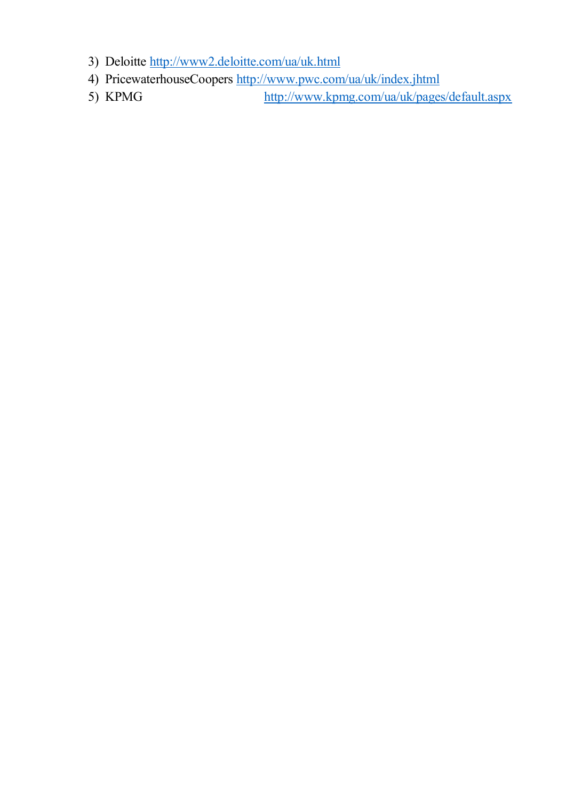- 3) Deloitte <http://www2.deloitte.com/ua/uk.html>
- 4) PricewaterhouseCoopers <http://www.pwc.com/ua/uk/index.jhtml>
- 5) KPMG <http://www.kpmg.com/ua/uk/pages/default.aspx>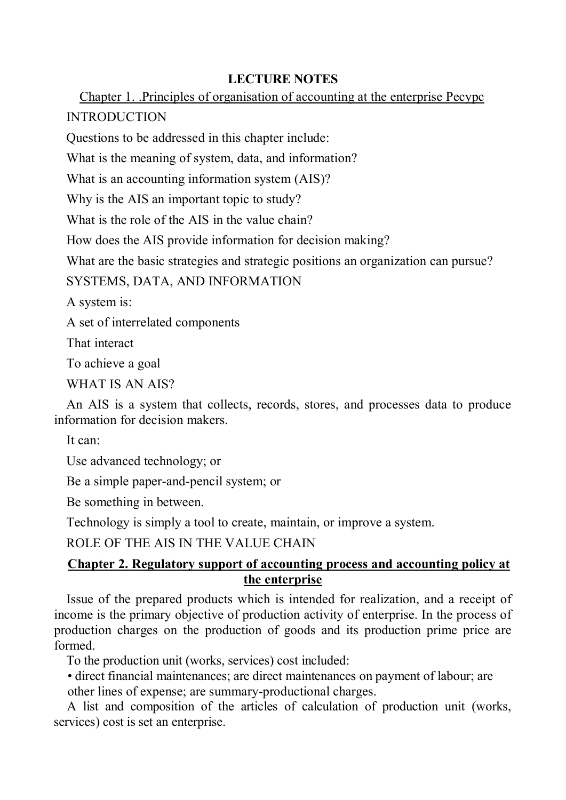## **LECTURE NOTES**

Chapter 1. .Principles of organisation of accounting at the enterprise Ресурс INTRODUCTION

Questions to be addressed in this chapter include:

What is the meaning of system, data, and information?

What is an accounting information system (AIS)?

Why is the AIS an important topic to study?

What is the role of the AIS in the value chain?

How does the AIS provide information for decision making?

What are the basic strategies and strategic positions an organization can pursue?

SYSTEMS, DATA, AND INFORMATION

A system is:

A set of interrelated components

That interact

To achieve a goal

WHAT IS AN AIS?

An AIS is a system that collects, records, stores, and processes data to produce information for decision makers.

It can:

Use advanced technology; or

Be a simple paper-and-pencil system; or

Be something in between.

Technology is simply a tool to create, maintain, or improve a system.

ROLE OF THE AIS IN THE VALUE CHAIN

#### **Chapter 2. Regulatory support of accounting process and accounting policy at the enterprise**

Issue of the prepared products which is intended for realization, and a receipt of income is the primary objective of production activity of enterprise. In the process of production charges on the production of goods and its production prime price are formed.

To the production unit (works, services) cost included:

• direct financial maintenances; are direct maintenances on payment of labour; are other lines of expense; are summary-productional charges.

A list and composition of the articles of calculation of production unit (works, services) cost is set an enterprise.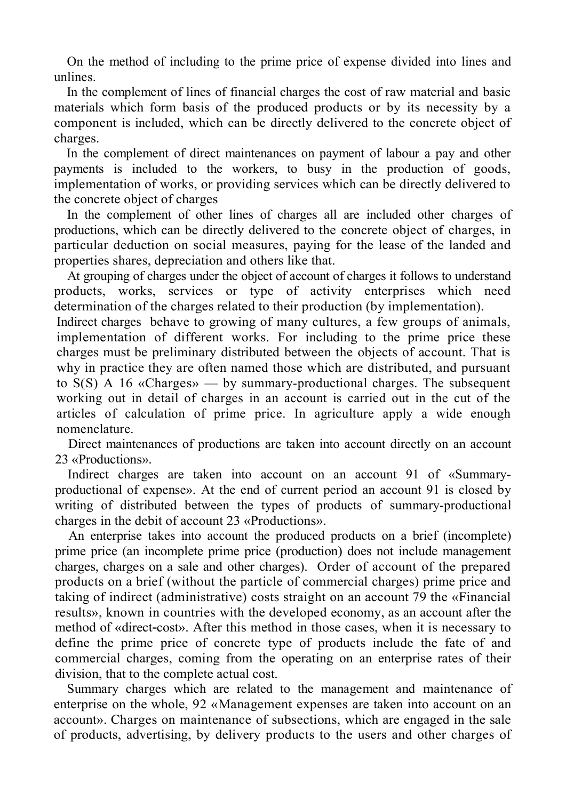On the method of including to the prime price of expense divided into lines and unlines.

In the complement of lines of financial charges the cost of raw material and basic materials which form basis of the produced products or by its necessity by a component is included, which can be directly delivered to the concrete object of charges.

In the complement of direct maintenances on payment of labour a pay and other payments is included to the workers, to busy in the production of goods, implementation of works, or providing services which can be directly delivered to the concrete object of charges

In the complement of other lines of charges all are included other charges of productions, which can be directly delivered to the concrete object of charges, in particular deduction on social measures, paying for the lease of the landed and properties shares, depreciation and others like that.

At grouping of charges under the object of account of charges it follows to understand products, works, services or type of activity enterprises which need determination of the charges related to their production (by implementation).

Indirect charges behave to growing of many cultures, a few groups of animals, implementation of different works. For including to the prime price these charges must be preliminary distributed between the objects of account. That is why in practice they are often named those which are distributed, and pursuant to S(S) A 16 «Charges» — by summary-productional charges. The subsequent working out in detail of charges in an account is carried out in the cut of the articles of calculation of prime price. In agriculture apply a wide enough nomenclature.

Direct maintenances of productions are taken into account directly on an account 23 «Productions».

Indirect charges are taken into account on an account 91 of «Summaryproductional of expense». At the end of current period an account 91 is closed by writing of distributed between the types of products of summary-productional charges in the debit of account 23 «Productions».

An enterprise takes into account the produced products on a brief (incomplete) prime price (an incomplete prime price (production) does not include management charges, charges on a sale and other charges). Order of account of the prepared products on a brief (without the particle of commercial charges) prime price and taking of indirect (administrative) costs straight on an account 79 the «Financial results», known in countries with the developed economy, as an account after the method of «direct-cost». After this method in those cases, when it is necessary to define the prime price of concrete type of products include the fate of and commercial charges, coming from the operating on an enterprise rates of their division, that to the complete actual cost.

Summary charges which are related to the management and maintenance of enterprise on the whole, 92 «Management expenses are taken into account on an account». Charges on maintenance of subsections, which are engaged in the sale of products, advertising, by delivery products to the users and other charges of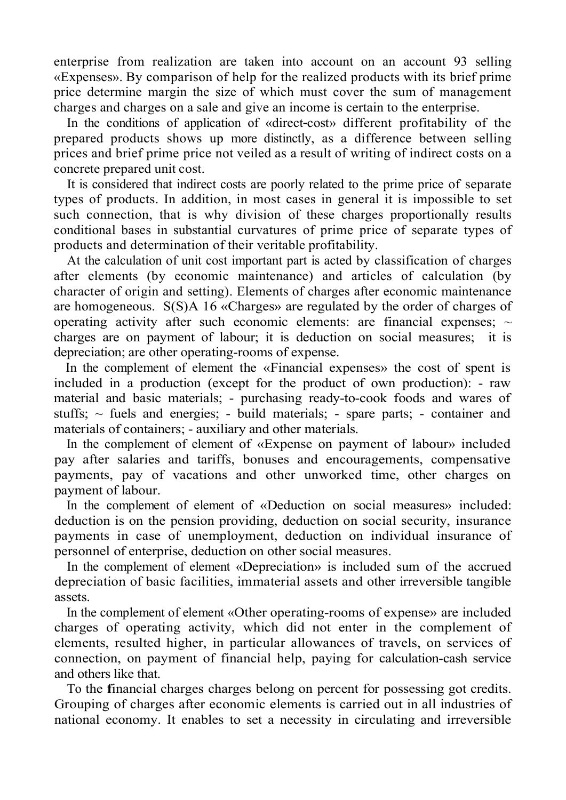enterprise from realization are taken into account on an account 93 selling «Expenses». By comparison of help for the realized products with its brief prime price determine margin the size of which must cover the sum of management charges and charges on a sale and give an income is certain to the enterprise.

In the conditions of application of «direct-cost» different profitability of the prepared products shows up more distinctly, as a difference between selling prices and brief prime price not veiled as a result of writing of indirect costs on a concrete prepared unit cost.

It is considered that indirect costs are poorly related to the prime price of separate types of products. In addition, in most cases in general it is impossible to set such connection, that is why division of these charges proportionally results conditional bases in substantial curvatures of prime price of separate types of products and determination of their veritable profitability.

At the calculation of unit cost important part is acted by classification of charges after elements (by economic maintenance) and articles of calculation (by character of origin and setting). Elements of charges after economic maintenance are homogeneous. S(S)A 16 «Charges» are regulated by the order of charges of operating activity after such economic elements: are financial expenses;  $\sim$ charges are on payment of labour; it is deduction on social measures; it is depreciation; are other operating-rooms of expense.

In the complement of element the «Financial expenses» the cost of spent is included in a production (except for the product of own production): - raw material and basic materials; - purchasing ready-to-cook foods and wares of stuffs;  $\sim$  fuels and energies; - build materials; - spare parts; - container and materials of containers; - auxiliary and other materials.

In the complement of element of «Expense on payment of labour» included pay after salaries and tariffs, bonuses and encouragements, compensative payments, pay of vacations and other unworked time, other charges on payment of labour.

In the complement of element of «Deduction on social measures» included: deduction is on the pension providing, deduction on social security, insurance payments in case of unemployment, deduction on individual insurance of personnel of enterprise, deduction on other social measures.

In the complement of element «Depreciation» is included sum of the accrued depreciation of basic facilities, immaterial assets and other irreversible tangible assets.

In the complement of element «Other operating-rooms of expense» are included charges of operating activity, which did not enter in the complement of elements, resulted higher, in particular allowances of travels, on services of connection, on payment of financial help, paying for calculation-cash service and others like that.

To the **f**inancial charges charges belong on percent for possessing got credits. Grouping of charges after economic elements is carried out in all industries of national economy. It enables to set a necessity in circulating and irreversible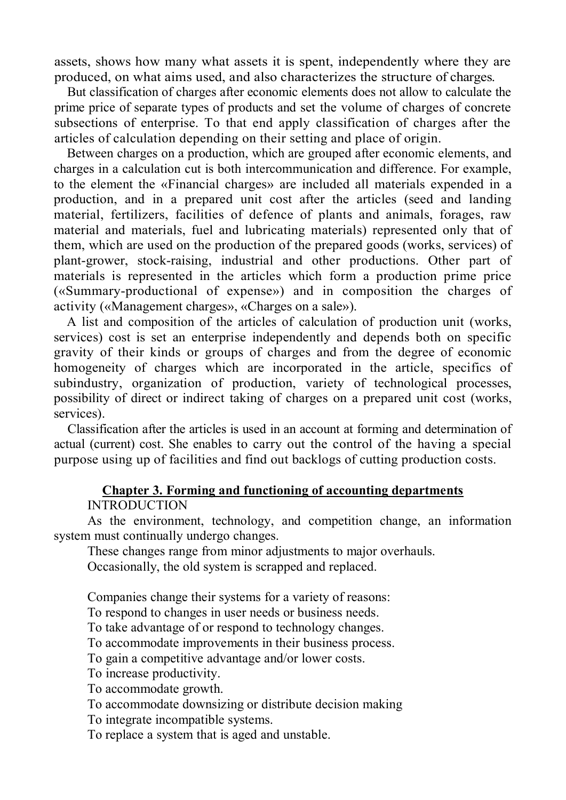assets, shows how many what assets it is spent, independently where they are produced, on what aims used, and also characterizes the structure of charges.

But classification of charges after economic elements does not allow to calculate the prime price of separate types of products and set the volume of charges of concrete subsections of enterprise. To that end apply classification of charges after the articles of calculation depending on their setting and place of origin.

Between charges on a production, which are grouped after economic elements, and charges in a calculation cut is both intercommunication and difference. For example, to the element the «Financial charges» are included all materials expended in a production, and in a prepared unit cost after the articles (seed and landing material, fertilizers, facilities of defence of plants and animals, forages, raw material and materials, fuel and lubricating materials) represented only that of them, which are used on the production of the prepared goods (works, services) of plant-grower, stock-raising, industrial and other productions. Other part of materials is represented in the articles which form a production prime price («Summary-productional of expense») and in composition the charges of activity («Management charges», «Charges on a sale»).

A list and composition of the articles of calculation of production unit (works, services) cost is set an enterprise independently and depends both on specific gravity of their kinds or groups of charges and from the degree of economic homogeneity of charges which are incorporated in the article, specifics of subindustry, organization of production, variety of technological processes, possibility of direct or indirect taking of charges on a prepared unit cost (works, services).

Classification after the articles is used in an account at forming and determination of actual (current) cost. She enables to carry out the control of the having a special purpose using up of facilities and find out backlogs of cutting production costs.

#### **Chapter 3. Forming and functioning of accounting departments INTRODUCTION**

As the environment, technology, and competition change, an information system must continually undergo changes.

These changes range from minor adjustments to major overhauls.

Occasionally, the old system is scrapped and replaced.

Companies change their systems for a variety of reasons:

To respond to changes in user needs or business needs.

To take advantage of or respond to technology changes.

To accommodate improvements in their business process.

To gain a competitive advantage and/or lower costs.

To increase productivity.

To accommodate growth.

To accommodate downsizing or distribute decision making

To integrate incompatible systems.

To replace a system that is aged and unstable.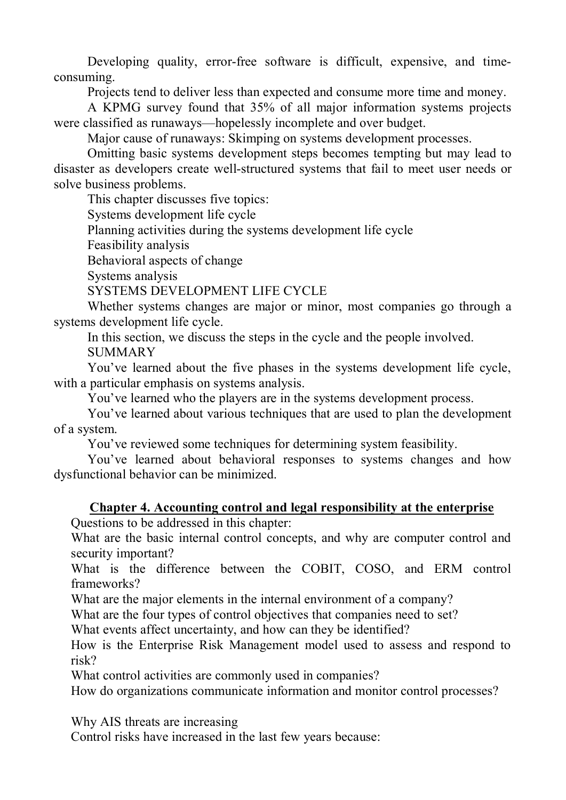Developing quality, error-free software is difficult, expensive, and timeconsuming.

Projects tend to deliver less than expected and consume more time and money.

A KPMG survey found that 35% of all major information systems projects were classified as runaways—hopelessly incomplete and over budget.

Major cause of runaways: Skimping on systems development processes.

Omitting basic systems development steps becomes tempting but may lead to disaster as developers create well-structured systems that fail to meet user needs or solve business problems.

This chapter discusses five topics:

Systems development life cycle

Planning activities during the systems development life cycle

Feasibility analysis

Behavioral aspects of change

Systems analysis

SYSTEMS DEVELOPMENT LIFE CYCLE

Whether systems changes are major or minor, most companies go through a systems development life cycle.

In this section, we discuss the steps in the cycle and the people involved.

**SUMMARY** 

You've learned about the five phases in the systems development life cycle, with a particular emphasis on systems analysis.

You've learned who the players are in the systems development process.

You've learned about various techniques that are used to plan the development of a system.

You've reviewed some techniques for determining system feasibility.

You've learned about behavioral responses to systems changes and how dysfunctional behavior can be minimized.

## **Chapter 4. Accounting control and legal responsibility at the enterprise**

Questions to be addressed in this chapter:

What are the basic internal control concepts, and why are computer control and security important?

What is the difference between the COBIT, COSO, and ERM control frameworks?

What are the major elements in the internal environment of a company?

What are the four types of control objectives that companies need to set?

What events affect uncertainty, and how can they be identified?

How is the Enterprise Risk Management model used to assess and respond to risk?

What control activities are commonly used in companies?

How do organizations communicate information and monitor control processes?

Why AIS threats are increasing

Control risks have increased in the last few years because: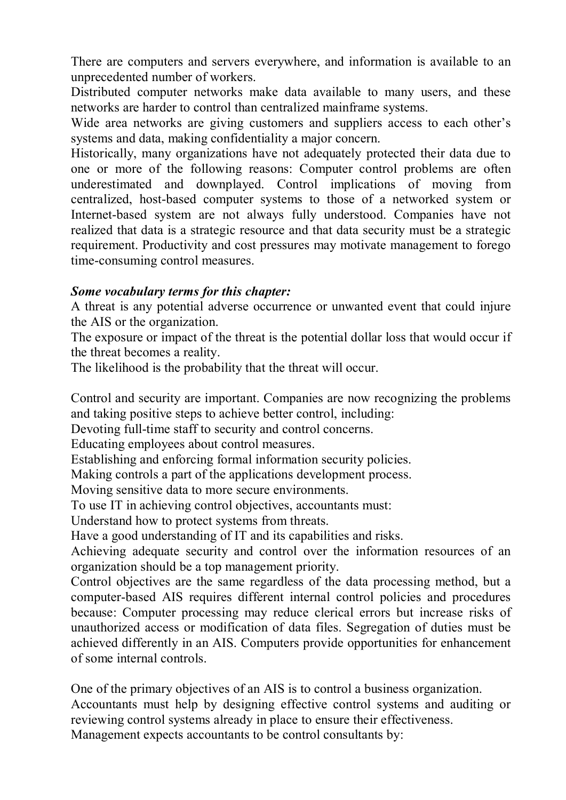There are computers and servers everywhere, and information is available to an unprecedented number of workers.

Distributed computer networks make data available to many users, and these networks are harder to control than centralized mainframe systems.

Wide area networks are giving customers and suppliers access to each other's systems and data, making confidentiality a major concern.

Historically, many organizations have not adequately protected their data due to one or more of the following reasons: Computer control problems are often underestimated and downplayed. Control implications of moving from centralized, host-based computer systems to those of a networked system or Internet-based system are not always fully understood. Companies have not realized that data is a strategic resource and that data security must be a strategic requirement. Productivity and cost pressures may motivate management to forego time-consuming control measures.

#### *Some vocabulary terms for this chapter:*

A threat is any potential adverse occurrence or unwanted event that could injure the AIS or the organization.

The exposure or impact of the threat is the potential dollar loss that would occur if the threat becomes a reality.

The likelihood is the probability that the threat will occur.

Control and security are important. Companies are now recognizing the problems and taking positive steps to achieve better control, including:

Devoting full-time staff to security and control concerns.

Educating employees about control measures.

Establishing and enforcing formal information security policies.

Making controls a part of the applications development process.

Moving sensitive data to more secure environments.

To use IT in achieving control objectives, accountants must:

Understand how to protect systems from threats.

Have a good understanding of IT and its capabilities and risks.

Achieving adequate security and control over the information resources of an organization should be a top management priority.

Control objectives are the same regardless of the data processing method, but a computer-based AIS requires different internal control policies and procedures because: Computer processing may reduce clerical errors but increase risks of unauthorized access or modification of data files. Segregation of duties must be achieved differently in an AIS. Computers provide opportunities for enhancement of some internal controls.

One of the primary objectives of an AIS is to control a business organization. Accountants must help by designing effective control systems and auditing or reviewing control systems already in place to ensure their effectiveness. Management expects accountants to be control consultants by: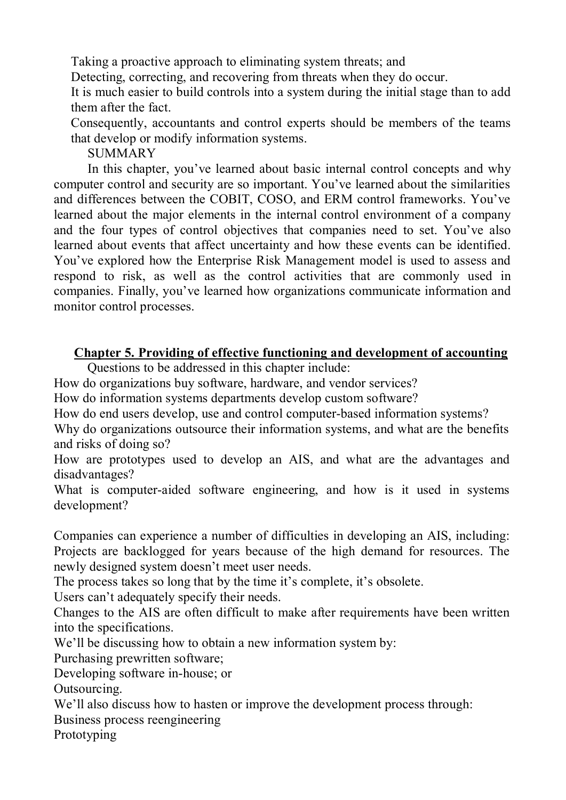Taking a proactive approach to eliminating system threats; and

Detecting, correcting, and recovering from threats when they do occur.

It is much easier to build controls into a system during the initial stage than to add them after the fact.

Consequently, accountants and control experts should be members of the teams that develop or modify information systems.

**SUMMARY** 

In this chapter, you've learned about basic internal control concepts and why computer control and security are so important. You've learned about the similarities and differences between the COBIT, COSO, and ERM control frameworks. You've learned about the major elements in the internal control environment of a company and the four types of control objectives that companies need to set. You've also learned about events that affect uncertainty and how these events can be identified. You've explored how the Enterprise Risk Management model is used to assess and respond to risk, as well as the control activities that are commonly used in companies. Finally, you've learned how organizations communicate information and monitor control processes.

# **Chapter 5. Providing of effective functioning and development of accounting**

Questions to be addressed in this chapter include:

How do organizations buy software, hardware, and vendor services?

How do information systems departments develop custom software?

How do end users develop, use and control computer-based information systems?

Why do organizations outsource their information systems, and what are the benefits and risks of doing so?

How are prototypes used to develop an AIS, and what are the advantages and disadvantages?

What is computer-aided software engineering, and how is it used in systems development?

Companies can experience a number of difficulties in developing an AIS, including: Projects are backlogged for years because of the high demand for resources. The newly designed system doesn't meet user needs.

The process takes so long that by the time it's complete, it's obsolete.

Users can't adequately specify their needs.

Changes to the AIS are often difficult to make after requirements have been written into the specifications.

We'll be discussing how to obtain a new information system by:

Purchasing prewritten software;

Developing software in-house; or

Outsourcing.

We'll also discuss how to hasten or improve the development process through:

Business process reengineering

Prototyping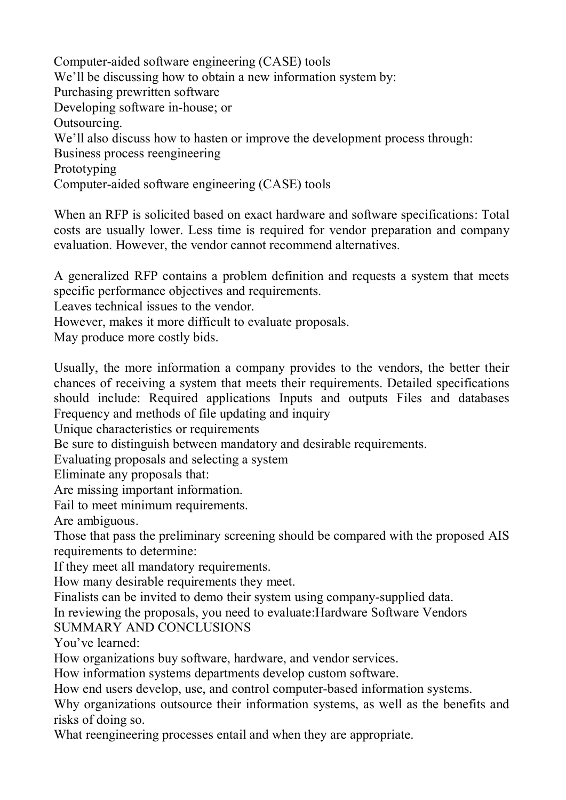Computer-aided software engineering (CASE) tools We'll be discussing how to obtain a new information system by: Purchasing prewritten software Developing software in-house; or Outsourcing. We'll also discuss how to hasten or improve the development process through: Business process reengineering Prototyping Computer-aided software engineering (CASE) tools

When an RFP is solicited based on exact hardware and software specifications: Total costs are usually lower. Less time is required for vendor preparation and company evaluation. However, the vendor cannot recommend alternatives.

A generalized RFP contains a problem definition and requests a system that meets specific performance objectives and requirements.

Leaves technical issues to the vendor.

However, makes it more difficult to evaluate proposals.

May produce more costly bids.

Usually, the more information a company provides to the vendors, the better their chances of receiving a system that meets their requirements. Detailed specifications should include: Required applications Inputs and outputs Files and databases Frequency and methods of file updating and inquiry

Unique characteristics or requirements

Be sure to distinguish between mandatory and desirable requirements.

Evaluating proposals and selecting a system

Eliminate any proposals that:

Are missing important information.

Fail to meet minimum requirements.

Are ambiguous.

Those that pass the preliminary screening should be compared with the proposed AIS requirements to determine:

If they meet all mandatory requirements.

How many desirable requirements they meet.

Finalists can be invited to demo their system using company-supplied data. In reviewing the proposals, you need to evaluate:Hardware Software Vendors

SUMMARY AND CONCLUSIONS

You've learned:

How organizations buy software, hardware, and vendor services.

How information systems departments develop custom software.

How end users develop, use, and control computer-based information systems.

Why organizations outsource their information systems, as well as the benefits and risks of doing so.

What reengineering processes entail and when they are appropriate.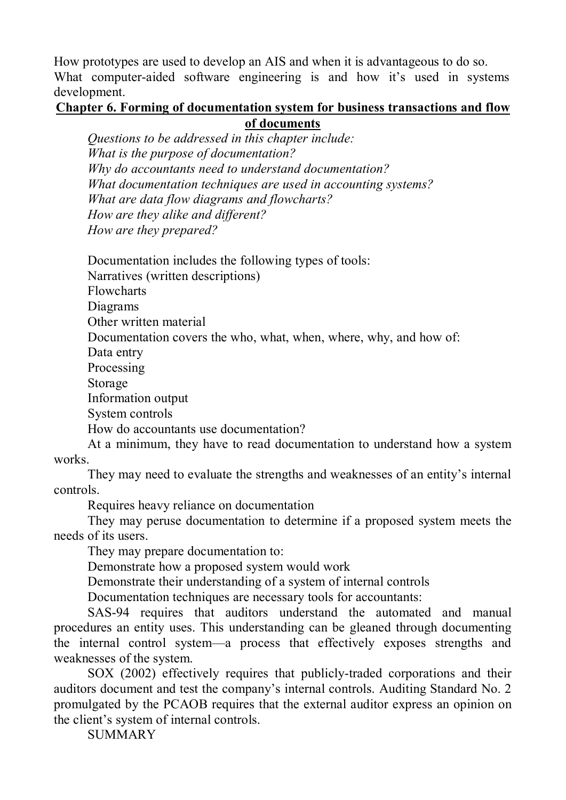How prototypes are used to develop an AIS and when it is advantageous to do so. What computer-aided software engineering is and how it's used in systems development.

#### **Chapter 6. Forming of documentation system for business transactions and flow of documents**

*Questions to be addressed in this chapter include: What is the purpose of documentation? Why do accountants need to understand documentation? What documentation techniques are used in accounting systems? What are data flow diagrams and flowcharts? How are they alike and different? How are they prepared?*

Documentation includes the following types of tools:

Narratives (written descriptions)

Flowcharts

Diagrams

Other written material

Documentation covers the who, what, when, where, why, and how of:

Data entry

Processing

Storage

Information output

System controls

How do accountants use documentation?

At a minimum, they have to read documentation to understand how a system works.

They may need to evaluate the strengths and weaknesses of an entity's internal controls.

Requires heavy reliance on documentation

They may peruse documentation to determine if a proposed system meets the needs of its users.

They may prepare documentation to:

Demonstrate how a proposed system would work

Demonstrate their understanding of a system of internal controls

Documentation techniques are necessary tools for accountants:

SAS-94 requires that auditors understand the automated and manual procedures an entity uses. This understanding can be gleaned through documenting the internal control system—a process that effectively exposes strengths and weaknesses of the system.

SOX (2002) effectively requires that publicly-traded corporations and their auditors document and test the company's internal controls. Auditing Standard No. 2 promulgated by the PCAOB requires that the external auditor express an opinion on the client's system of internal controls.

**SUMMARY**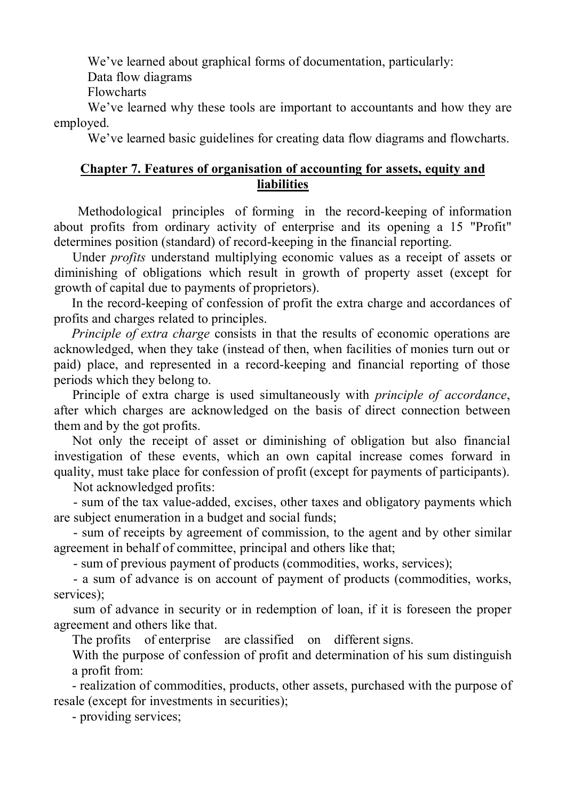We've learned about graphical forms of documentation, particularly:

Data flow diagrams

Flowcharts

We've learned why these tools are important to accountants and how they are employed.

We've learned basic guidelines for creating data flow diagrams and flowcharts.

#### **Chapter 7. Features of organisation of accounting for assets, equity and liabilities**

Methodological principles of forming in the record-keeping of information about profits from ordinary activity of enterprise and its opening a 15 "Profit" determines position (standard) of record-keeping in the financial reporting.

Under *profits* understand multiplying economic values as a receipt of assets or diminishing of obligations which result in growth of property asset (except for growth of capital due to payments of proprietors).

In the record-keeping of confession of profit the extra charge and accordances of profits and charges related to principles.

*Principle of extra charge* consists in that the results of economic operations are acknowledged, when they take (instead of then, when facilities of monies turn out or paid) place, and represented in a record-keeping and financial reporting of those periods which they belong to.

Principle of extra charge is used simultaneously with *principle of accordance*, after which charges are acknowledged on the basis of direct connection between them and by the got profits.

Not only the receipt of asset or diminishing of obligation but also financial investigation of these events, which an own capital increase comes forward in quality, must take place for confession of profit (except for payments of participants).

Not acknowledged profits:

- sum of the tax value-added, excises, other taxes and obligatory payments which are subject enumeration in a budget and social funds;

- sum of receipts by agreement of commission, to the agent and by other similar agreement in behalf of committee, principal and others like that;

- sum of previous payment of products (commodities, works, services);

- a sum of advance is on account of payment of products (commodities, works, services);

sum of advance in security or in redemption of loan, if it is foreseen the proper agreement and others like that.

The profits of enterprise are classified on different signs.

With the purpose of confession of profit and determination of his sum distinguish a profit from:

- realization of commodities, products, other assets, purchased with the purpose of resale (except for investments in securities);

- providing services;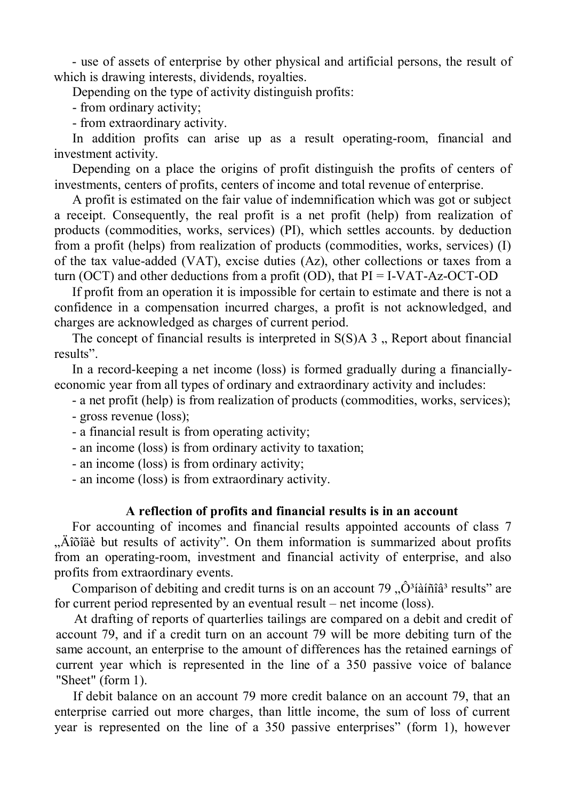- use of assets of enterprise by other physical and artificial persons, the result of which is drawing interests, dividends, royalties.

Depending on the type of activity distinguish profits:

- from ordinary activity;

- from extraordinary activity.

In addition profits can arise up as a result operating-room, financial and investment activity.

Depending on a place the origins of profit distinguish the profits of centers of investments, centers of profits, centers of income and total revenue of enterprise.

A profit is estimated on the fair value of indemnification which was got or subject a receipt. Consequently, the real profit is a net profit (help) from realization of products (commodities, works, services) (PI), which settles accounts. by deduction from a profit (helps) from realization of products (commodities, works, services) (I) of the tax value-added (VAT), excise duties (Az), other collections or taxes from a turn (OCT) and other deductions from a profit (OD), that  $PI = I-VAT-Az-OCT-OD$ 

If profit from an operation it is impossible for certain to estimate and there is not a confidence in a compensation incurred charges, a profit is not acknowledged, and charges are acknowledged as charges of current period.

The concept of financial results is interpreted in  $S(S)A$  3. Report about financial results".

In a record-keeping a net income (loss) is formed gradually during a financiallyeconomic year from all types of ordinary and extraordinary activity and includes:

- a net profit (help) is from realization of products (commodities, works, services);
- gross revenue (loss);
- a financial result is from operating activity;
- an income (loss) is from ordinary activity to taxation;
- an income (loss) is from ordinary activity;
- an income (loss) is from extraordinary activity.

#### **A reflection of profits and financial results is in an account**

For accounting of incomes and financial results appointed accounts of class 7 . Añõiãè but results of activity". On them information is summarized about profits from an operating-room, investment and financial activity of enterprise, and also profits from extraordinary events.

Comparison of debiting and credit turns is on an account  $79 \dots \hat{O}^3$ íàíñî $\hat{a}^3$  results" are for current period represented by an eventual result – net income (loss).

At drafting of reports of quarterlies tailings are compared on a debit and credit of account 79, and if a credit turn on an account 79 will be more debiting turn of the same account, an enterprise to the amount of differences has the retained earnings of current year which is represented in the line of a 350 passive voice of balance "Sheet" (form 1).

If debit balance on an account 79 more credit balance on an account 79, that an enterprise carried out more charges, than little income, the sum of loss of current year is represented on the line of a 350 passive enterprises" (form 1), however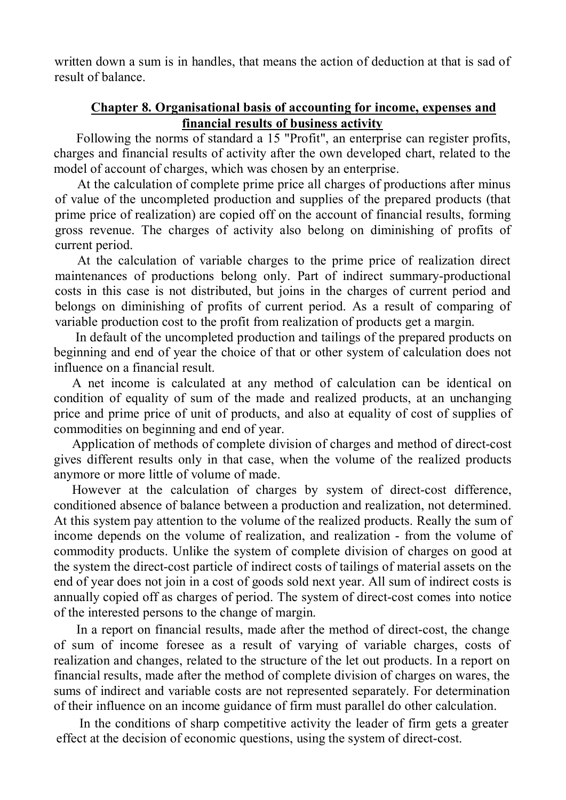written down a sum is in handles, that means the action of deduction at that is sad of result of balance.

#### **Chapter 8. Organisational basis of accounting for income, expenses and financial results of business activity**

Following the norms of standard a 15 "Profit", an enterprise can register profits, charges and financial results of activity after the own developed chart, related to the model of account of charges, which was chosen by an enterprise.

At the calculation of complete prime price all charges of productions after minus of value of the uncompleted production and supplies of the prepared products (that prime price of realization) are copied off on the account of financial results, forming gross revenue. The charges of activity also belong on diminishing of profits of current period.

At the calculation of variable charges to the prime price of realization direct maintenances of productions belong only. Part of indirect summary-productional costs in this case is not distributed, but joins in the charges of current period and belongs on diminishing of profits of current period. As a result of comparing of variable production cost to the profit from realization of products get a margin.

 In default of the uncompleted production and tailings of the prepared products on beginning and end of year the choice of that or other system of calculation does not influence on a financial result.

A net income is calculated at any method of calculation can be identical on condition of equality of sum of the made and realized products, at an unchanging price and prime price of unit of products, and also at equality of cost of supplies of commodities on beginning and end of year.

Application of methods of complete division of charges and method of direct-cost gives different results only in that case, when the volume of the realized products anymore or more little of volume of made.

However at the calculation of charges by system of direct-cost difference, conditioned absence of balance between a production and realization, not determined. At this system pay attention to the volume of the realized products. Really the sum of income depends on the volume of realization, and realization - from the volume of commodity products. Unlike the system of complete division of charges on good at the system the direct-cost particle of indirect costs of tailings of material assets on the end of year does not join in a cost of goods sold next year. All sum of indirect costs is annually copied off as charges of period. The system of direct-cost comes into notice of the interested persons to the change of margin.

In a report on financial results, made after the method of direct-cost, the change of sum of income foresee as a result of varying of variable charges, costs of realization and changes, related to the structure of the let out products. In a report on financial results, made after the method of complete division of charges on wares, the sums of indirect and variable costs are not represented separately. For determination of their influence on an income guidance of firm must parallel do other calculation.

In the conditions of sharp competitive activity the leader of firm gets a greater effect at the decision of economic questions, using the system of direct-cost.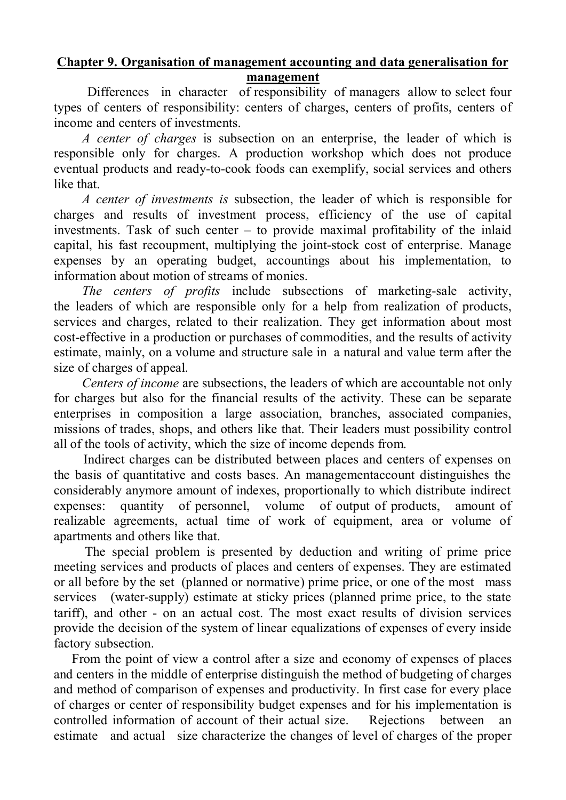#### **Chapter 9. Organisation of management accounting and data generalisation for management**

Differences in character of responsibility of managers allow to select four types of centers of responsibility: centers of charges, centers of profits, centers of income and centers of investments.

*A center of charges* is subsection on an enterprise, the leader of which is responsible only for charges. A production workshop which does not produce eventual products and ready-to-cook foods can exemplify, social services and others like that.

*A center of investments is* subsection, the leader of which is responsible for charges and results of investment process, efficiency of the use of capital investments. Task of such center – to provide maximal profitability of the inlaid capital, his fast recoupment, multiplying the joint-stock cost of enterprise. Manage expenses by an operating budget, accountings about his implementation, to information about motion of streams of monies.

*The centers of profits* include subsections of marketing-sale activity, the leaders of which are responsible only for a help from realization of products, services and charges, related to their realization. They get information about most cost-effective in a production or purchases of commodities, and the results of activity estimate, mainly, on a volume and structure sale in a natural and value term after the size of charges of appeal.

*Centers of income* are subsections, the leaders of which are accountable not only for charges but also for the financial results of the activity. These can be separate enterprises in composition a large association, branches, associated companies, missions of trades, shops, and others like that. Their leaders must possibility control all of the tools of activity, which the size of income depends from.

Indirect charges can be distributed between places and centers of expenses on the basis of quantitative and costs bases. An managementaccount distinguishes the considerably anymore amount of indexes, proportionally to which distribute indirect expenses: quantity of personnel, volume of output of products, amount of realizable agreements, actual time of work of equipment, area or volume of apartments and others like that.

The special problem is presented by deduction and writing of prime price meeting services and products of places and centers of expenses. They are estimated or all before by the set (planned or normative) prime price, or one of the most mass services (water-supply) estimate at sticky prices (planned prime price, to the state tariff), and other - on an actual cost. The most exact results of division services provide the decision of the system of linear equalizations of expenses of every inside factory subsection.

From the point of view a control after a size and economy of expenses of places and centers in the middle of enterprise distinguish the method of budgeting of charges and method of comparison of expenses and productivity. In first case for every place of charges or center of responsibility budget expenses and for his implementation is controlled information of account of their actual size. Rejections between an estimate and actual size characterize the changes of level of charges of the proper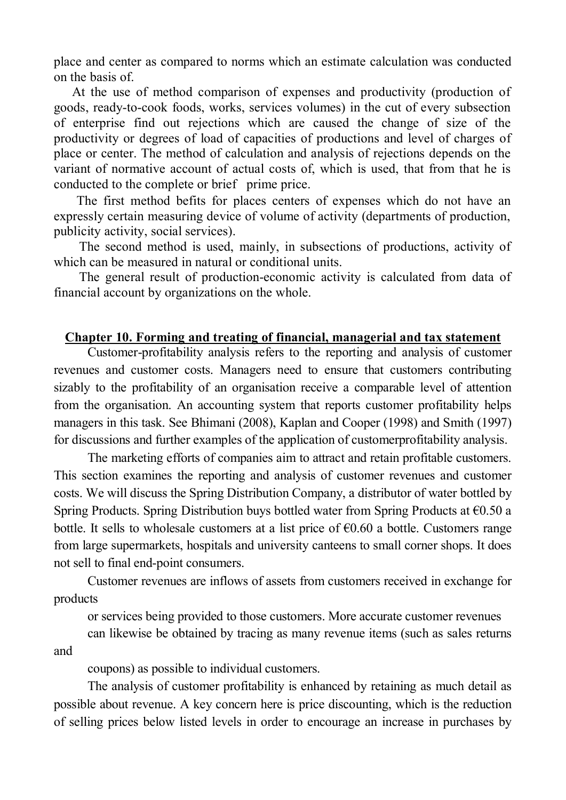place and center as compared to norms which an estimate calculation was conducted on the basis of.

At the use of method comparison of expenses and productivity (production of goods, ready-to-cook foods, works, services volumes) in the cut of every subsection of enterprise find out rejections which are caused the change of size of the productivity or degrees of load of capacities of productions and level of charges of place or center. The method of calculation and analysis of rejections depends on the variant of normative account of actual costs of, which is used, that from that he is conducted to the complete or brief prime price.

The first method befits for places centers of expenses which do not have an expressly certain measuring device of volume of activity (departments of production, publicity activity, social services).

The second method is used, mainly, in subsections of productions, activity of which can be measured in natural or conditional units.

The general result of production-economic activity is calculated from data of financial account by organizations on the whole.

#### **Chapter 10. Forming and treating of financial, managerial and tax statement**

Customer-profitability analysis refers to the reporting and analysis of customer revenues and customer costs. Managers need to ensure that customers contributing sizably to the profitability of an organisation receive a comparable level of attention from the organisation. An accounting system that reports customer profitability helps managers in this task. See Bhimani (2008), Kaplan and Cooper (1998) and Smith (1997) for discussions and further examples of the application of customerprofitability analysis.

The marketing efforts of companies aim to attract and retain profitable customers. This section examines the reporting and analysis of customer revenues and customer costs. We will discuss the Spring Distribution Company, a distributor of water bottled by Spring Products. Spring Distribution buys bottled water from Spring Products at  $\epsilon$ 0.50 a bottle. It sells to wholesale customers at a list price of  $\epsilon$ 0.60 a bottle. Customers range from large supermarkets, hospitals and university canteens to small corner shops. It does not sell to final end-point consumers.

Customer revenues are inflows of assets from customers received in exchange for products

or services being provided to those customers. More accurate customer revenues

can likewise be obtained by tracing as many revenue items (such as sales returns and

coupons) as possible to individual customers.

The analysis of customer profitability is enhanced by retaining as much detail as possible about revenue. A key concern here is price discounting, which is the reduction of selling prices below listed levels in order to encourage an increase in purchases by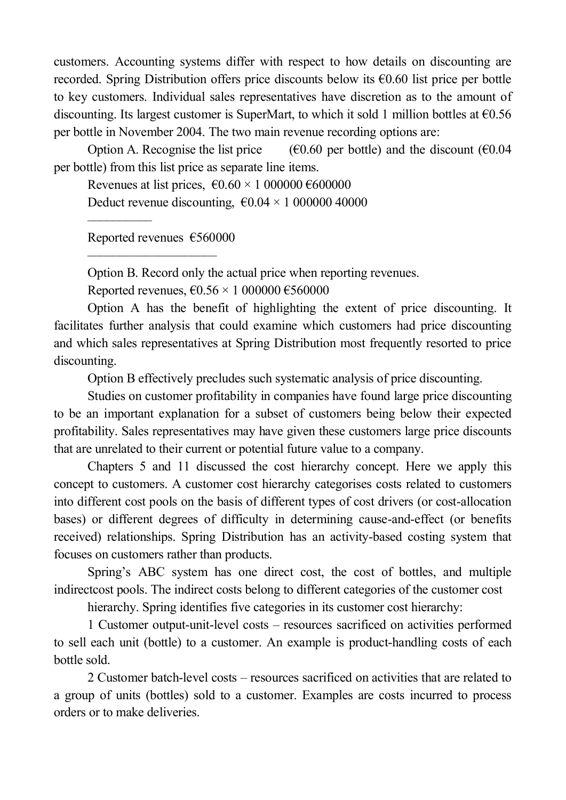customers. Accounting systems differ with respect to how details on discounting are recorded. Spring Distribution offers price discounts below its  $\epsilon$ 0.60 list price per bottle to key customers. Individual sales representatives have discretion as to the amount of discounting. Its largest customer is SuperMart, to which it sold 1 million bottles at  $\epsilon$ 0.56 per bottle in November 2004. The two main revenue recording options are:

Option A. Recognise the list price  $(60.60 \text{ per bottle})$  and the discount  $(60.04 \text{ m})$ per bottle) from this list price as separate line items.

Revenues at list prices,  $\epsilon 0.60 \times 1000000 \epsilon 600000$ 

Deduct revenue discounting,  $\epsilon 0.04 \times 100000040000$ 

Reported revenues €560000

––––––––––––––––––––

––––––––––

Option B. Record only the actual price when reporting revenues.

Reported revenues,  $\epsilon$ 0.56 × 1 000000  $\epsilon$ 560000

Option A has the benefit of highlighting the extent of price discounting. It facilitates further analysis that could examine which customers had price discounting and which sales representatives at Spring Distribution most frequently resorted to price discounting.

Option B effectively precludes such systematic analysis of price discounting.

Studies on customer profitability in companies have found large price discounting to be an important explanation for a subset of customers being below their expected profitability. Sales representatives may have given these customers large price discounts that are unrelated to their current or potential future value to a company.

Chapters 5 and 11 discussed the cost hierarchy concept. Here we apply this concept to customers. A customer cost hierarchy categorises costs related to customers into different cost pools on the basis of different types of cost drivers (or cost-allocation bases) or different degrees of difficulty in determining cause-and-effect (or benefits received) relationships. Spring Distribution has an activity-based costing system that focuses on customers rather than products.

Spring's ABC system has one direct cost, the cost of bottles, and multiple indirectcost pools. The indirect costs belong to different categories of the customer cost

hierarchy. Spring identifies five categories in its customer cost hierarchy:

1 Customer output-unit-level costs – resources sacrificed on activities performed to sell each unit (bottle) to a customer. An example is product-handling costs of each bottle sold.

2 Customer batch-level costs – resources sacrificed on activities that are related to a group of units (bottles) sold to a customer. Examples are costs incurred to process orders or to make deliveries.